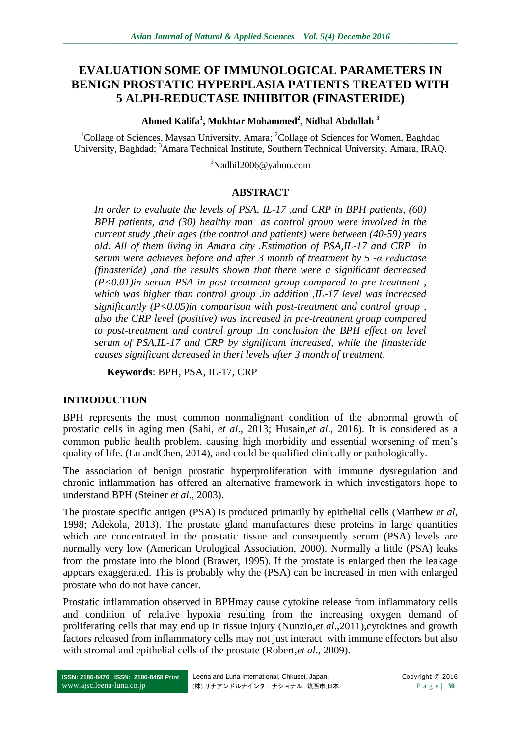# **EVALUATION SOME OF IMMUNOLOGICAL PARAMETERS IN BENIGN PROSTATIC HYPERPLASIA PATIENTS TREATED WITH 5 ALPH-REDUCTASE INHIBITOR (FINASTERIDE)**

**Ahmed Kalifa<sup>1</sup> , Mukhtar Mohammed<sup>2</sup> , Nidhal Abdullah <sup>3</sup>**

<sup>1</sup>Collage of Sciences, Maysan University, Amara; <sup>2</sup>Collage of Sciences for Women, Baghdad University, Baghdad; <sup>3</sup>Amara Technical Institute, Southern Technical University, Amara, IRAQ.

<sup>3</sup>Nadhil2006@yahoo.com

### **ABSTRACT**

*In order to evaluate the levels of PSA, IL-17 ,and CRP in BPH patients, (60) BPH patients, and (30) healthy man as control group were involved in the current study ,their ages (the control and patients) were between (40-59) years old. All of them living in Amara city .Estimation of PSA,IL-17 and CRP in serum were achieves before and after 3 month of treatment by 5 -α reductase (finasteride) ,and the results shown that there were a significant decreased (P<0.01)in serum PSA in post-treatment group compared to pre-treatment , which was higher than control group .in addition ,IL-17 level was increased significantly (P<0.05)in comparison with post-treatment and control group , also the CRP level (positive) was increased in pre-treatment group compared to post-treatment and control group .In conclusion the BPH effect on level serum of PSA,IL-17 and CRP by significant increased, while the finasteride causes significant dcreased in theri levels after 3 month of treatment.*

**Keywords**: BPH, PSA, IL-17, CRP

## **INTRODUCTION**

BPH represents the most common nonmalignant condition of the abnormal growth of prostatic cells in aging men (Sahi, *et al*., 2013; Husain,*et al*., 2016). It is considered as a common public health problem, causing high morbidity and essential worsening of men's quality of life. (Lu andChen, 2014), and could be qualified clinically or pathologically.

The association of benign prostatic hyperproliferation with immune dysregulation and chronic inflammation has offered an alternative framework in which investigators hope to understand BPH (Steiner *et al*., 2003).

The prostate specific antigen (PSA) is produced primarily by epithelial cells (Matthew *et al*, 1998; Adekola, 2013). The prostate gland manufactures these proteins in large quantities which are concentrated in the prostatic tissue and consequently serum (PSA) levels are normally very low (American Urological Association, 2000). Normally a little (PSA) leaks from the prostate into the blood (Brawer, 1995). If the prostate is enlarged then the leakage appears exaggerated. This is probably why the (PSA) can be increased in men with enlarged prostate who do not have cancer.

Prostatic inflammation observed in BPHmay cause cytokine release from inflammatory cells and condition of relative hypoxia resulting from the increasing oxygen demand of proliferating cells that may end up in tissue injury (Nunzio,*et al.*,2011),cytokines and growth factors released from inflammatory cells may not just interact with immune effectors but also with stromal and epithelial cells of the prostate (Robert,*et al*., 2009).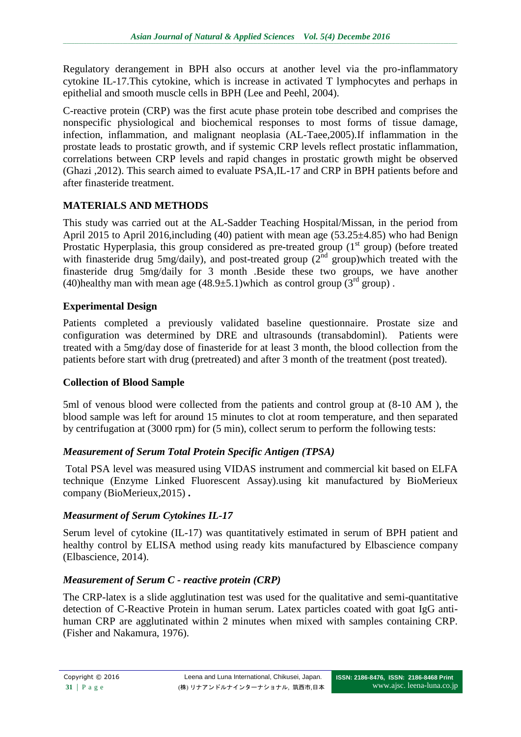Regulatory derangement in BPH also occurs at another level via the pro-inflammatory cytokine IL-17.This cytokine, which is increase in activated T lymphocytes and perhaps in epithelial and smooth muscle cells in BPH (Lee and Peehl, 2004).

C-reactive protein (CRP) was the first acute phase protein tobe described and comprises the nonspecific physiological and biochemical responses to most forms of tissue damage, infection, inflammation, and malignant neoplasia (AL-Taee,2005).If inflammation in the prostate leads to prostatic growth, and if systemic CRP levels reflect prostatic inflammation, correlations between CRP levels and rapid changes in prostatic growth might be observed (Ghazi ,2012). This search aimed to evaluate PSA,IL-17 and CRP in BPH patients before and after finasteride treatment.

## **MATERIALS AND METHODS**

This study was carried out at the AL-Sadder Teaching Hospital/Missan, in the period from April 2015 to April 2016,including (40) patient with mean age (53.25±4.85) who had Benign Prostatic Hyperplasia, this group considered as pre-treated group  $(1<sup>st</sup>$  group) (before treated with finasteride drug 5mg/daily), and post-treated group  $(2<sup>nd</sup>$  group)which treated with the finasteride drug 5mg/daily for 3 month .Beside these two groups, we have another (40)healthy man with mean age  $(48.9\pm5.1)$  which as control group  $(3<sup>rd</sup>$  group).

## **Experimental Design**

Patients completed a previously validated baseline questionnaire. Prostate size and configuration was determined by DRE and ultrasounds (transabdominl). Patients were treated with a 5mg/day dose of finasteride for at least 3 month, the blood collection from the patients before start with drug (pretreated) and after 3 month of the treatment (post treated).

## **Collection of Blood Sample**

5ml of venous blood were collected from the patients and control group at (8-10 AM ), the blood sample was left for around 15 minutes to clot at room temperature, and then separated by centrifugation at (3000 rpm) for (5 min), collect serum to perform the following tests:

# *Measurement of Serum Total Protein Specific Antigen (TPSA)*

Total PSA level was measured using VIDAS instrument and commercial kit based on ELFA technique (Enzyme Linked Fluorescent Assay).using kit manufactured by BioMerieux company (BioMerieux,2015) **.**

# *Measurment of Serum Cytokines IL-17*

Serum level of cytokine (IL-17) was quantitatively estimated in serum of BPH patient and healthy control by ELISA method using ready kits manufactured by Elbascience company (Elbascience, 2014).

# *Measurement of Serum C - reactive protein (CRP)*

The CRP-latex is a slide agglutination test was used for the qualitative and semi-quantitative detection of C-Reactive Protein in human serum. Latex particles coated with goat IgG antihuman CRP are agglutinated within 2 minutes when mixed with samples containing CRP. (Fisher and Nakamura, 1976).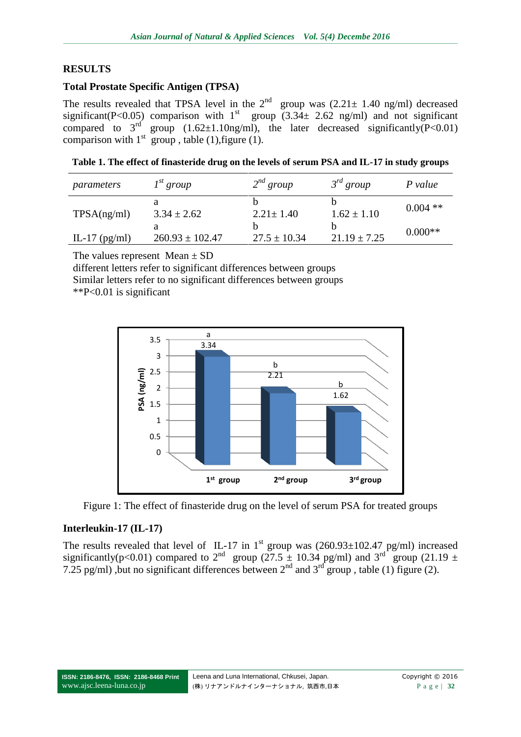### **RESULTS**

#### **Total Prostate Specific Antigen (TPSA)**

The results revealed that TPSA level in the  $2^{nd}$  group was  $(2.21 \pm 1.40 \text{ ng/ml})$  decreased significant(P<0.05) comparison with  $1<sup>st</sup>$  group  $(3.34 \pm 2.62 \text{ ng/ml})$  and not significant compared to  $3^{rd}$  group  $(1.62 \pm 1.10$ ng/ml), the later decreased significantly(P<0.01) comparison with  $1<sup>st</sup>$  group, table (1), figure (1).

**Table 1. The effect of finasteride drug on the levels of serum PSA and IL-17 in study groups**

| parameters      | $I^{st}$ group      | $2^{nd}$ group   | $3^{rd}$ group   | P value    |
|-----------------|---------------------|------------------|------------------|------------|
| TPSA(ng/ml)     | $3.34 \pm 2.62$     | $2.21 \pm 1.40$  | $1.62 \pm 1.10$  | $0.004$ ** |
| IL-17 $(pg/ml)$ | $260.93 \pm 102.47$ | $27.5 \pm 10.34$ | $21.19 \pm 7.25$ | $0.000**$  |

The values represent  $Mean \pm SD$ 

different letters refer to significant differences between groups Similar letters refer to no significant differences between groups \*\*P<0.01 is significant



Figure 1: The effect of finasteride drug on the level of serum PSA for treated groups

#### **Interleukin-17 (IL-17)**

The results revealed that level of IL-17 in 1<sup>st</sup> group was  $(260.93 \pm 102.47 \text{ pg/ml})$  increased significantly(p<0.01) compared to 2<sup>nd</sup> group (27.5  $\pm$  10.34 pg/ml) and 3<sup>rd</sup> group (21.19  $\pm$ 7.25 pg/ml), but no significant differences between  $2^{nd}$  and  $3^{rd}$  group, table (1) figure (2).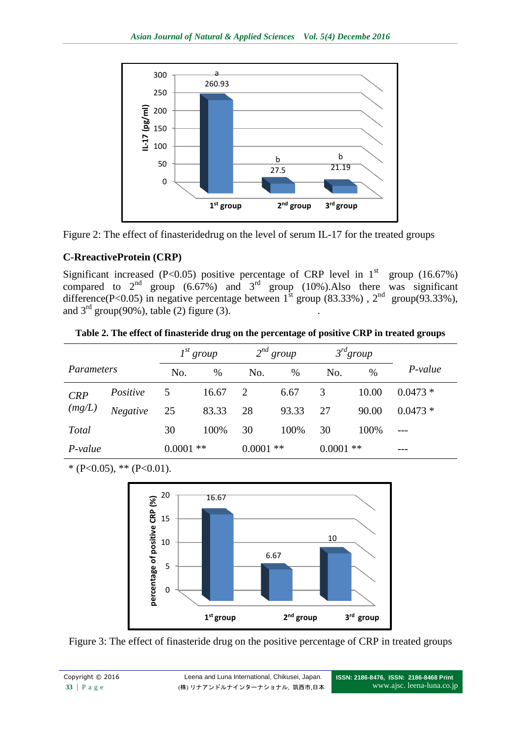

Figure 2: The effect of finasteridedrug on the level of serum IL-17 for the treated groups

## **C-RreactiveProtein (CRP)**

Significant increased (P<0.05) positive percentage of CRP level in  $1<sup>st</sup>$  group (16.67%) compared to  $2^{nd}$  group (6.67%) and  $3^{rd}$  group (10%). Also there was significant difference(P<0.05) in negative percentage between  $1^{st}$  group (83.33%),  $2^{nd}$  group(93.33%), and  $3<sup>rd</sup>$  group(90%), table (2) figure (3).

| Table 2. The effect of finasteride drug on the percentage of positive CRP in treated groups |  |  |
|---------------------------------------------------------------------------------------------|--|--|

|              |                 | $I^{st}$ group |       | $2^{nd}$ group |       | $3^{rd}$ group |       |           |
|--------------|-----------------|----------------|-------|----------------|-------|----------------|-------|-----------|
| Parameters   |                 | No.            | %     | No.            | $\%$  | No.            | %     | P-value   |
| CRP          | Positive        | 5              | 16.67 | 2              | 6.67  | 3              | 10.00 | $0.0473*$ |
| (mg/L)       | <b>Negative</b> | 25             | 83.33 | 28             | 93.33 | 27             | 90.00 | $0.0473*$ |
| <b>Total</b> |                 | 30             | 100%  | 30             | 100%  | 30             | 100%  | $---$     |
| $P-value$    |                 | 0.0001         | $**$  | $0.0001$ **    |       | $0.0001$ **    |       | ---       |

 $*(P<0.05), ** (P<0.01).$ 



Figure 3: The effect of finasteride drug on the positive percentage of CRP in treated groups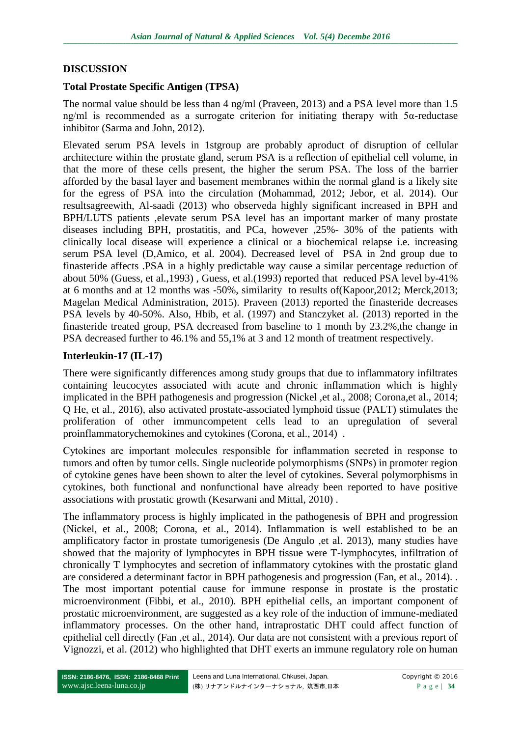#### **DISCUSSION**

#### **Total Prostate Specific Antigen (TPSA)**

The normal value should be less than 4 ng/ml (Praveen, 2013) and a PSA level more than 1.5 ng/ml is recommended as a surrogate criterion for initiating therapy with 5α-reductase inhibitor (Sarma and John, 2012).

Elevated serum PSA levels in 1stgroup are probably aproduct of disruption of cellular architecture within the prostate gland, serum PSA is a reflection of epithelial cell volume, in that the more of these cells present, the higher the serum PSA. The loss of the barrier afforded by the basal layer and basement membranes within the normal gland is a likely site for the egress of PSA into the circulation (Mohammad, 2012; Jebor, et al. 2014). Our resultsagreewith, Al-saadi (2013) who observeda highly significant increased in BPH and BPH/LUTS patients ,elevate serum PSA level has an important marker of many prostate diseases including BPH, prostatitis, and PCa, however ,25%- 30% of the patients with clinically local disease will experience a clinical or a biochemical relapse i.e. increasing serum PSA level (D,Amico, et al. 2004). Decreased level of PSA in 2nd group due to finasteride affects .PSA in a highly predictable way cause a similar percentage reduction of about 50% (Guess, et al.,1993) , Guess, et al.(1993) reported that reduced PSA level by-41% at 6 months and at 12 months was -50%, similarity to results of(Kapoor,2012; Merck,2013; Magelan Medical Administration, 2015). Praveen (2013) reported the finasteride decreases PSA levels by 40-50%. Also, Hbib, et al. (1997) and Stanczyket al. (2013) reported in the finasteride treated group, PSA decreased from baseline to 1 month by 23.2%,the change in PSA decreased further to 46.1% and 55,1% at 3 and 12 month of treatment respectively.

#### **Interleukin-17 (IL-17)**

There were significantly differences among study groups that due to inflammatory infiltrates containing leucocytes associated with acute and chronic inflammation which is highly implicated in the BPH pathogenesis and progression (Nickel ,et al., 2008; Corona,et al., 2014; Q He, et al., 2016), also activated prostate-associated lymphoid tissue (PALT) stimulates the proliferation of other immuncompetent cells lead to an upregulation of several proinflammatorychemokines and cytokines (Corona, et al., 2014) .

Cytokines are important molecules responsible for inflammation secreted in response to tumors and often by tumor cells. Single nucleotide polymorphisms (SNPs) in promoter region of cytokine genes have been shown to alter the level of cytokines. Several polymorphisms in cytokines, both functional and nonfunctional have already been reported to have positive associations with prostatic growth (Kesarwani and Mittal, 2010) .

The inflammatory process is highly implicated in the pathogenesis of BPH and progression (Nickel, et al., 2008; Corona, et al., 2014). Inflammation is well established to be an amplificatory factor in prostate tumorigenesis (De Angulo ,et al. 2013), many studies have showed that the majority of lymphocytes in BPH tissue were T-lymphocytes, infiltration of chronically T lymphocytes and secretion of inflammatory cytokines with the prostatic gland are considered a determinant factor in BPH pathogenesis and progression (Fan, et al., 2014). . The most important potential cause for immune response in prostate is the prostatic microenvironment (Fibbi, et al., 2010). BPH epithelial cells, an important component of prostatic microenvironment, are suggested as a key role of the induction of immune-mediated inflammatory processes. On the other hand, intraprostatic DHT could affect function of epithelial cell directly (Fan ,et al., 2014). Our data are not consistent with a previous report of Vignozzi, et al. (2012) who highlighted that DHT exerts an immune regulatory role on human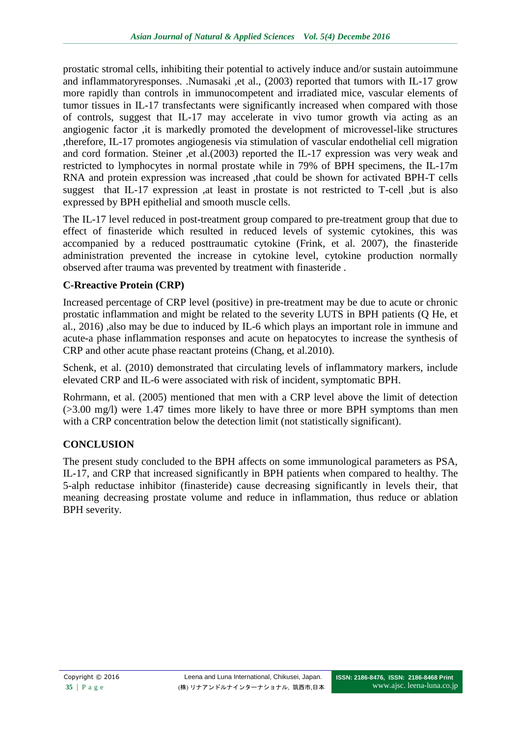prostatic stromal cells, inhibiting their potential to actively induce and/or sustain autoimmune and inflammatoryresponses. .Numasaki ,et al., (2003) reported that tumors with IL-17 grow more rapidly than controls in immunocompetent and irradiated mice, vascular elements of tumor tissues in IL-17 transfectants were significantly increased when compared with those of controls, suggest that IL-17 may accelerate in vivo tumor growth via acting as an angiogenic factor ,it is markedly promoted the development of microvessel-like structures ,therefore, IL-17 promotes angiogenesis via stimulation of vascular endothelial cell migration and cord formation. Steiner ,et al.(2003) reported the IL-17 expression was very weak and restricted to lymphocytes in normal prostate while in 79% of BPH specimens, the IL-17m RNA and protein expression was increased ,that could be shown for activated BPH-T cells suggest that IL-17 expression ,at least in prostate is not restricted to T-cell ,but is also expressed by BPH epithelial and smooth muscle cells.

The IL-17 level reduced in post-treatment group compared to pre-treatment group that due to effect of finasteride which resulted in reduced levels of systemic cytokines, this was accompanied by a reduced posttraumatic cytokine (Frink, et al. 2007), the finasteride administration prevented the increase in cytokine level, cytokine production normally observed after trauma was prevented by treatment with finasteride .

## **C-Rreactive Protein (CRP)**

Increased percentage of CRP level (positive) in pre-treatment may be due to acute or chronic prostatic inflammation and might be related to the severity LUTS in BPH patients (Q He, et al., 2016) ,also may be due to induced by IL-6 which plays an important role in immune and acute-a phase inflammation responses and acute on hepatocytes to increase the synthesis of CRP and other acute phase reactant proteins (Chang, et al.2010).

Schenk, et al. (2010) demonstrated that circulating levels of inflammatory markers, include elevated CRP and IL-6 were associated with risk of incident, symptomatic BPH.

Rohrmann, et al. (2005) mentioned that men with a CRP level above the limit of detection (>3.00 mg/l) were 1.47 times more likely to have three or more BPH symptoms than men with a CRP concentration below the detection limit (not statistically significant).

## **CONCLUSION**

The present study concluded to the BPH affects on some immunological parameters as PSA, IL-17, and CRP that increased significantly in BPH patients when compared to healthy. The 5-alph reductase inhibitor (finasteride) cause decreasing significantly in levels their, that meaning decreasing prostate volume and reduce in inflammation, thus reduce or ablation BPH severity.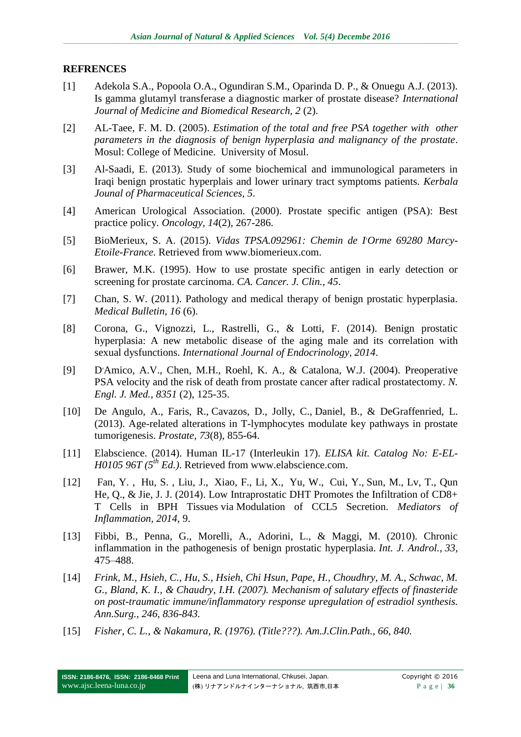#### **REFRENCES**

- [1] Adekola S.A., Popoola O.A., Ogundiran S.M., Oparinda D. P., & Onuegu A.J. (2013). Is gamma glutamyl transferase a diagnostic marker of prostate disease? *International Journal of Medicine and Biomedical Research, 2* (2).
- [2] AL-Taee, F. M. D. (2005). *Estimation of the total and free PSA together with other parameters in the diagnosis of benign hyperplasia and malignancy of the prostate*. Mosul: College of Medicine. University of Mosul.
- [3] Al-Saadi, E. (2013). Study of some biochemical and immunological parameters in Iraqi benign prostatic hyperplais and lower urinary tract symptoms patients. *Kerbala Jounal of Pharmaceutical Sciences, 5*.
- [4] American Urological Association. (2000). Prostate specific antigen (PSA): Best practice policy. *Oncology, 14*(2), 267-286.
- [5] BioMerieux, S. A. (2015). *Vidas TPSA.092961: Chemin de l'Orme 69280 Marcy-Etoile-France*. Retrieved from www.biomerieux.com.
- [6] Brawer, M.K. (1995). How to use prostate specific antigen in early detection or screening for prostate carcinoma. *CA. Cancer. J. Clin., 45*.
- [7] Chan, S. W. (2011). Pathology and medical therapy of benign prostatic hyperplasia. *Medical Bulletin, 16* (6).
- [8] Corona, G., Vignozzi, L., Rastrelli, G., & Lotti, F. (2014). Benign prostatic hyperplasia: A new metabolic disease of the aging male and its correlation with sexual dysfunctions. *International Journal of Endocrinology, 2014*.
- $[9]$ D'Amico, A.V., Chen, M.H., Roehl, K. A., & Catalona, W.J. (2004). Preoperative PSA velocity and the risk of death from prostate cancer after radical prostatectomy. *[N.](http://www.ncbi.nlm.nih.gov/pubmed/15247353)  [Engl. J. Med.](http://www.ncbi.nlm.nih.gov/pubmed/15247353)*, *8351* (2), 125-35.
- [10] De Angulo, A., [Faris, R.](http://www.ncbi.nlm.nih.gov/pubmed/?term=Faris%20R%5BAuthor%5D&cauthor=true&cauthor_uid=23532664), [Cavazos, D.](http://www.ncbi.nlm.nih.gov/pubmed/?term=Cavazos%20D%5BAuthor%5D&cauthor=true&cauthor_uid=23532664), [Jolly, C.](http://www.ncbi.nlm.nih.gov/pubmed/?term=Jolly%20C%5BAuthor%5D&cauthor=true&cauthor_uid=23532664), [Daniel, B.](http://www.ncbi.nlm.nih.gov/pubmed/?term=Daniel%20B%5BAuthor%5D&cauthor=true&cauthor_uid=23532664), & [DeGraffenried, L.](http://www.ncbi.nlm.nih.gov/pubmed/?term=DeGraffenried%20L%5BAuthor%5D&cauthor=true&cauthor_uid=23532664) (2013). Age-related alterations in T-lymphocytes modulate key pathways in prostate tumorigenesis. *Prostate, 73*(8), 855-64.
- [11] Elabscience. (2014). Human IL-17 (Interleukin 17). *ELISA kit. Catalog No: E-EL-H0105 96T (5th Ed.)*. Retrieved from [www.elabscience.com.](http://www.elabscience.com/)
- [12] [Fan,](http://www.hindawi.com/21753416/) Y. , [Hu,](http://www.hindawi.com/84680251/) S. , [Liu,](http://www.hindawi.com/17094782/) J., [Xiao,](http://www.hindawi.com/64192082/) F., [Li,](http://www.hindawi.com/25269503/) X., [Yu,](http://www.hindawi.com/42817917/) W., [Cui,](http://www.hindawi.com/71868205/) Y., [Sun,](http://www.hindawi.com/39104632/) M., [Lv,](http://www.hindawi.com/10192370/) T., [Qun](http://www.hindawi.com/82348630/) [He,](http://www.hindawi.com/82348630/) Q., & [Jie,](http://www.hindawi.com/78764946/) J. J. (2014). Low Intraprostatic DHT Promotes the Infiltration of CD8+ T Cells in BPH Tissues via Modulation of CCL5 Secretion. *Mediators of Inflammation, 2014*, 9.
- [13] Fibbi, B., Penna, G., Morelli, A., Adorini, L., & Maggi, M. (2010). Chronic inflammation in the pathogenesis of benign prostatic hyperplasia. *Int. J. Androl., 33*, 475–488.
- [14] *Frink, M., Hsieh, C., Hu, S., Hsieh, Chi Hsun, Pape, H., Choudhry, M. A., Schwac, M. G., Bland, K. I., & Chaudry, I.H. (2007). Mechanism of salutary effects of finasteride on post-traumatic immune/inflammatory response upregulation of estradiol synthesis. Ann.Surg., 246, 836-843.*
- [15] *Fisher, C. L., & Nakamura, R. (1976). (Title???). Am.J.Clin.Path., 66, 840.*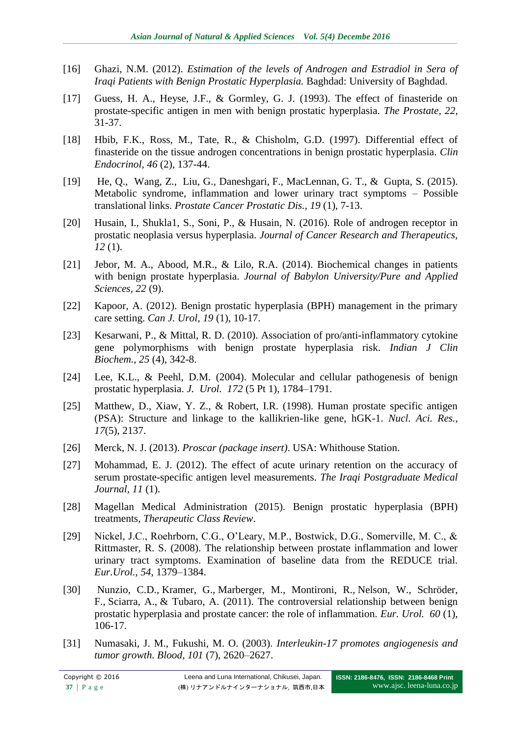- [16] Ghazi, N.M. (2012). *Estimation of the levels of Androgen and Estradiol in Sera of Iraqi Patients with Benign Prostatic Hyperplasia.* Baghdad: University of Baghdad.
- [17] Guess, H. A., Heyse, J.F., & Gormley, G. J. (1993). The effect of finasteride on prostate-specific antigen in men with benign prostatic hyperplasia. *The Prostate, 22*, 31-37.
- [18] Hbib, F.K., Ross, M., Tate, R., & Chisholm, G.D. (1997). Differential effect of finasteride on the tissue androgen concentrations in benign prostatic hyperplasia. *Clin Endocrinol, 46* (2), 137-44.
- [19] [He,](http://www.ncbi.nlm.nih.gov/pubmed/?term=He%20Q%5Bauth%5D) Q., [Wang,](http://www.ncbi.nlm.nih.gov/pubmed/?term=Wang%20Z%5Bauth%5D) Z., [Liu,](http://www.ncbi.nlm.nih.gov/pubmed/?term=Liu%20G%5Bauth%5D) G., [Daneshgari,](http://www.ncbi.nlm.nih.gov/pubmed/?term=Daneshgari%20F%5Bauth%5D) F., [MacLennan,](http://www.ncbi.nlm.nih.gov/pubmed/?term=MacLennan%20GT%5Bauth%5D) G. T., & [Gupta,](http://www.ncbi.nlm.nih.gov/pubmed/?term=Gupta%20S%5Bauth%5D) S. (2015). Metabolic syndrome, inflammation and lower urinary tract symptoms – Possible translational links. *[Prostate Cancer Prostatic Dis.,](http://www.ncbi.nlm.nih.gov/entrez/eutils/elink.fcgi?dbfrom=pubmed&retmode=ref&cmd=prlinks&id=26391088) 19* (1), 7-13.
- [20] Husain, I., Shukla1, S., Soni, P., & Husain, N. (2016). Role of androgen receptor in prostatic neoplasia versus hyperplasia. *Journal of Cancer Research and Therapeutics, 12* (1).
- [21] Jebor, M. A., Abood, M.R., & Lilo, R.A. (2014). Biochemical changes in patients with benign prostate hyperplasia. *Journal of Babylon University/Pure and Applied Sciences, 22* (9).
- [22] Kapoor, A. (2012). Benign prostatic hyperplasia (BPH) management in the primary care setting. *Can J. Urol, 19* (1), 10-17.
- [23] [Kesarwani, P.](http://www.ncbi.nlm.nih.gov/pubmed/?term=Kesarwani%20P%5BAuthor%5D&cauthor=true&cauthor_uid=21966102), & [Mittal, R. D.](http://www.ncbi.nlm.nih.gov/pubmed/?term=Mittal%20RD%5BAuthor%5D&cauthor=true&cauthor_uid=21966102) (2010). Association of pro/anti-inflammatory cytokine gene polymorphisms with benign prostate hyperplasia risk. *[Indian J Clin](http://www.ncbi.nlm.nih.gov/pubmed/21966102)  [Biochem.,](http://www.ncbi.nlm.nih.gov/pubmed/21966102) 25* (4), 342-8.
- [24] Lee, K.L., & Peehl, D.M. (2004). Molecular and cellular pathogenesis of benign prostatic hyperplasia. *J. Urol. 172* (5 Pt 1), 1784–1791.
- [25] Matthew, D., Xiaw, Y. Z., & Robert, I.R. (1998). Human prostate specific antigen (PSA): Structure and linkage to the kallikrien-like gene, hGK-1. *Nucl. Aci. Res., 17*(5), 2137.
- [26] Merck, N. J. (2013). *Proscar (package insert)*. USA: Whithouse Station.
- [27] Mohammad, E. J. (2012). The effect of acute urinary retention on the accuracy of serum prostate-specific antigen level measurements. *The Iraqi Postgraduate Medical Journal, 11* (1).
- [28] Magellan Medical Administration (2015). Benign prostatic hyperplasia (BPH) treatments, *Therapeutic Class Review*.
- [29] Nickel, J.C., Roehrborn, C.G., O'Leary, M.P., Bostwick, D.G., Somerville, M. C., & Rittmaster, R. S. (2008). The relationship between prostate inflammation and lower urinary tract symptoms. Examination of baseline data from the REDUCE trial. *Eur.Urol., 54*, 1379–1384.
- [30] [Nunzio, C.](http://www.ncbi.nlm.nih.gov/pubmed/?term=De%20Nunzio%20C%5BAuthor%5D&cauthor=true&cauthor_uid=21497433)D., [Kramer, G.](http://www.ncbi.nlm.nih.gov/pubmed/?term=Kramer%20G%5BAuthor%5D&cauthor=true&cauthor_uid=21497433), [Marberger, M.](http://www.ncbi.nlm.nih.gov/pubmed/?term=Marberger%20M%5BAuthor%5D&cauthor=true&cauthor_uid=21497433), [Montironi, R.](http://www.ncbi.nlm.nih.gov/pubmed/?term=Montironi%20R%5BAuthor%5D&cauthor=true&cauthor_uid=21497433), [Nelson, W.](http://www.ncbi.nlm.nih.gov/pubmed/?term=Nelson%20W%5BAuthor%5D&cauthor=true&cauthor_uid=21497433), [Schröder,](http://www.ncbi.nlm.nih.gov/pubmed/?term=Schr%C3%B6der%20F%5BAuthor%5D&cauthor=true&cauthor_uid=21497433)  [F.](http://www.ncbi.nlm.nih.gov/pubmed/?term=Schr%C3%B6der%20F%5BAuthor%5D&cauthor=true&cauthor_uid=21497433), [Sciarra, A.](http://www.ncbi.nlm.nih.gov/pubmed/?term=Sciarra%20A%5BAuthor%5D&cauthor=true&cauthor_uid=21497433), & [Tubaro, A.](http://www.ncbi.nlm.nih.gov/pubmed/?term=Tubaro%20A%5BAuthor%5D&cauthor=true&cauthor_uid=21497433) (2011). The controversial relationship between benign prostatic hyperplasia and prostate cancer: the role of inflammation. *[Eur. Urol.](http://www.ncbi.nlm.nih.gov/pubmed/21497433) 60* (1), 106-17.
- [31] Numasaki, J. M., Fukushi, M. O. (2003). *Interleukin-17 promotes angiogenesis and tumor growth. Blood, 101* (7), 2620–2627.